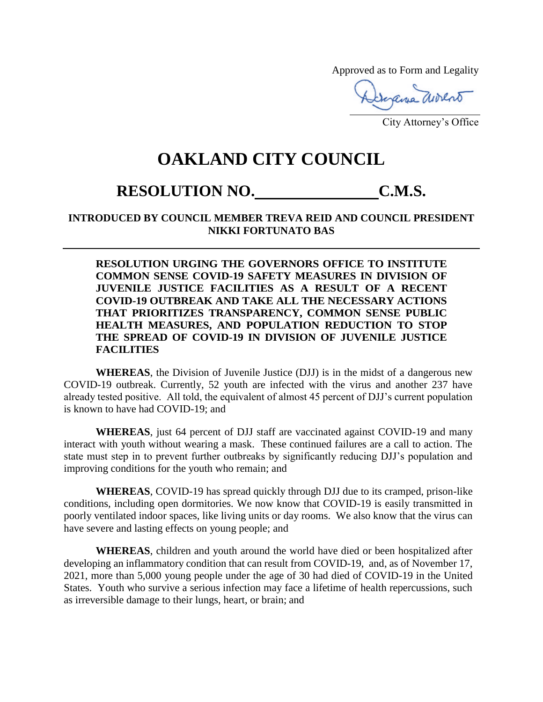Approved as to Form and Legality

Adrewa avrent

## **OAKLAND CITY COUNCIL**

## **RESOLUTION NO. C.M.S.**

## **INTRODUCED BY COUNCIL MEMBER TREVA REID AND COUNCIL PRESIDENT NIKKI FORTUNATO BAS**

**RESOLUTION URGING THE GOVERNORS OFFICE TO INSTITUTE COMMON SENSE COVID-19 SAFETY MEASURES IN DIVISION OF JUVENILE JUSTICE FACILITIES AS A RESULT OF A RECENT COVID-19 OUTBREAK AND TAKE ALL THE NECESSARY ACTIONS THAT PRIORITIZES TRANSPARENCY, COMMON SENSE PUBLIC HEALTH MEASURES, AND POPULATION REDUCTION TO STOP THE SPREAD OF COVID-19 IN DIVISION OF JUVENILE JUSTICE FACILITIES**

**WHEREAS**, the Division of Juvenile Justice (DJJ) is in the midst of a dangerous new COVID-19 outbreak. Currently, 52 youth are infected with the virus and another 237 have already tested positive. All told, the equivalent of almost 45 percent of DJJ's current population is known to have had COVID-19; and

**WHEREAS**, just 64 percent of DJJ staff are vaccinated against COVID-19 and many interact with youth without wearing a mask. These continued failures are a call to action. The state must step in to prevent further outbreaks by significantly reducing DJJ's population and improving conditions for the youth who remain; and

**WHEREAS**, COVID-19 has spread quickly through DJJ due to its cramped, prison-like conditions, including open dormitories. We now know that COVID-19 is easily transmitted in poorly ventilated indoor spaces, like living units or day rooms. We also know that the virus can have severe and lasting effects on young people; and

**WHEREAS**, children and youth around the world have died or been hospitalized after developing an inflammatory condition that can result from COVID-19, and, as of November 17, 2021, more than 5,000 young people under the age of 30 had died of COVID-19 in the United States. Youth who survive a serious infection may face a lifetime of health repercussions, such as irreversible damage to their lungs, heart, or brain; and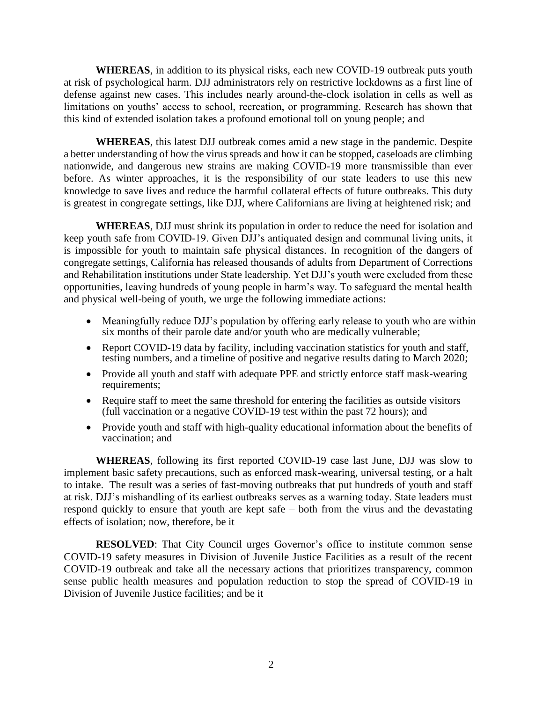**WHEREAS**, in addition to its physical risks, each new COVID-19 outbreak puts youth at risk of psychological harm. DJJ administrators rely on restrictive lockdowns as a first line of defense against new cases. This includes nearly around-the-clock isolation in cells as well as limitations on youths' access to school, recreation, or programming. Research has shown that this kind of extended isolation takes a profound emotional toll on young people; and

**WHEREAS**, this latest DJJ outbreak comes amid a new stage in the pandemic. Despite a better understanding of how the virus spreads and how it can be stopped, caseloads are climbing nationwide, and dangerous new strains are making COVID-19 more transmissible than ever before. As winter approaches, it is the responsibility of our state leaders to use this new knowledge to save lives and reduce the harmful collateral effects of future outbreaks. This duty is greatest in congregate settings, like DJJ, where Californians are living at heightened risk; and

**WHEREAS**, DJJ must shrink its population in order to reduce the need for isolation and keep youth safe from COVID-19. Given DJJ's antiquated design and communal living units, it is impossible for youth to maintain safe physical distances. In recognition of the dangers of congregate settings, California has released thousands of adults from Department of Corrections and Rehabilitation institutions under State leadership. Yet DJJ's youth were excluded from these opportunities, leaving hundreds of young people in harm's way. To safeguard the mental health and physical well-being of youth, we urge the following immediate actions:

- Meaningfully reduce DJJ's population by offering early release to youth who are within six months of their parole date and/or youth who are medically vulnerable;
- Report COVID-19 data by facility, including vaccination statistics for youth and staff, testing numbers, and a timeline of positive and negative results dating to March 2020;
- Provide all youth and staff with adequate PPE and strictly enforce staff mask-wearing requirements;
- Require staff to meet the same threshold for entering the facilities as outside visitors (full vaccination or a negative COVID-19 test within the past 72 hours); and
- Provide youth and staff with high-quality educational information about the benefits of vaccination; and

**WHEREAS**, following its first reported COVID-19 case last June, DJJ was slow to implement basic safety precautions, such as enforced mask-wearing, universal testing, or a halt to intake. The result was a series of fast-moving outbreaks that put hundreds of youth and staff at risk. DJJ's mishandling of its earliest outbreaks serves as a warning today. State leaders must respond quickly to ensure that youth are kept safe – both from the virus and the devastating effects of isolation; now, therefore, be it

**RESOLVED**: That City Council urges Governor's office to institute common sense COVID-19 safety measures in Division of Juvenile Justice Facilities as a result of the recent COVID-19 outbreak and take all the necessary actions that prioritizes transparency, common sense public health measures and population reduction to stop the spread of COVID-19 in Division of Juvenile Justice facilities; and be it